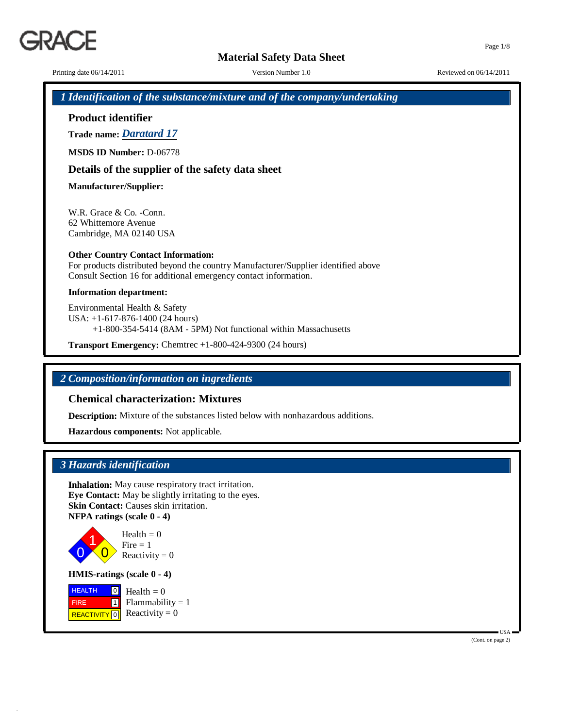9ΔC.

Printing date  $06/14/2011$  Version Number 1.0 Reviewed on  $06/14/2011$ 

## *1 Identification of the substance/mixture and of the company/undertaking*

**Product identifier**

**Trade name:** *Daratard 17*

**MSDS ID Number:** D-06778

## **Details of the supplier of the safety data sheet**

**Manufacturer/Supplier:**

W.R. Grace & Co. -Conn. 62 Whittemore Avenue Cambridge, MA 02140 USA

### **Other Country Contact Information:**

For products distributed beyond the country Manufacturer/Supplier identified above Consult Section 16 for additional emergency contact information.

#### **Information department:**

Environmental Health & Safety USA: +1-617-876-1400 (24 hours) +1-800-354-5414 (8AM - 5PM) Not functional within Massachusetts

**Transport Emergency:** Chemtrec +1-800-424-9300 (24 hours)

## *2 Composition/information on ingredients*

## **Chemical characterization: Mixtures**

**Description:** Mixture of the substances listed below with nonhazardous additions.

**Hazardous components:** Not applicable.

## *3 Hazards identification*

**Inhalation:** May cause respiratory tract irritation. **Eye Contact:** May be slightly irritating to the eyes. **Skin Contact:** Causes skin irritation. **NFPA ratings (scale 0 - 4)**



 $Health = 0$  $Fire = 1$ Reactivity  $= 0$ 

**HMIS-ratings (scale 0 - 4)**

**HEALTH**  FIRE REACTIVITY  $\boxed{0}$  Reactivity = 0  $\frac{0}{\Box}$  Health = 0 1  $Flammability = 1$  Page 1/8

(Cont. on page 2)

 $IISA$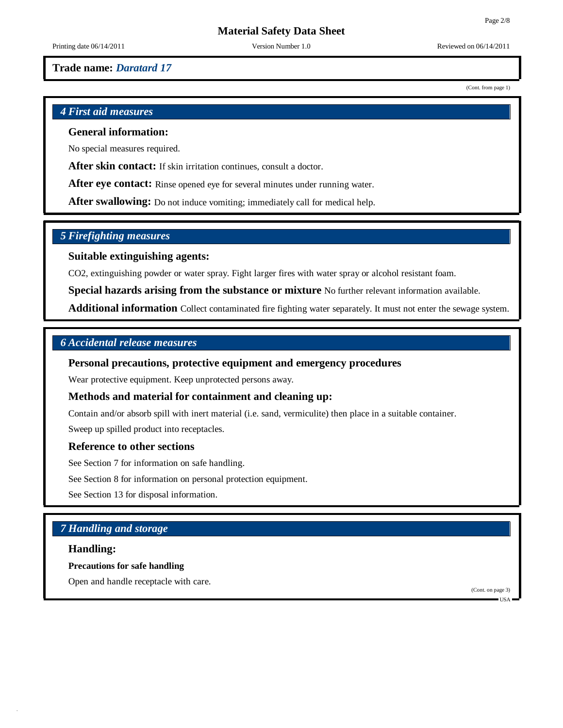(Cont. from page 1)

## **Material Safety Data Sheet**

Printing date  $06/14/2011$  Version Number 1.0 Reviewed on  $06/14/2011$ 

### **Trade name:** *Daratard 17*

*4 First aid measures*

## **General information:**

No special measures required.

**After skin contact:** If skin irritation continues, consult a doctor.

**After eye contact:** Rinse opened eye for several minutes under running water.

**After swallowing:** Do not induce vomiting; immediately call for medical help.

### *5 Firefighting measures*

#### **Suitable extinguishing agents:**

CO2, extinguishing powder or water spray. Fight larger fires with water spray or alcohol resistant foam.

**Special hazards arising from the substance or mixture** No further relevant information available.

**Additional information** Collect contaminated fire fighting water separately. It must not enter the sewage system.

### *6 Accidental release measures*

### **Personal precautions, protective equipment and emergency procedures**

Wear protective equipment. Keep unprotected persons away.

#### **Methods and material for containment and cleaning up:**

Contain and/or absorb spill with inert material (i.e. sand, vermiculite) then place in a suitable container.

Sweep up spilled product into receptacles.

#### **Reference to other sections**

See Section 7 for information on safe handling.

See Section 8 for information on personal protection equipment.

See Section 13 for disposal information.

## *7 Handling and storage*

### **Handling:**

**Precautions for safe handling**

Open and handle receptacle with care.

(Cont. on page 3)

USA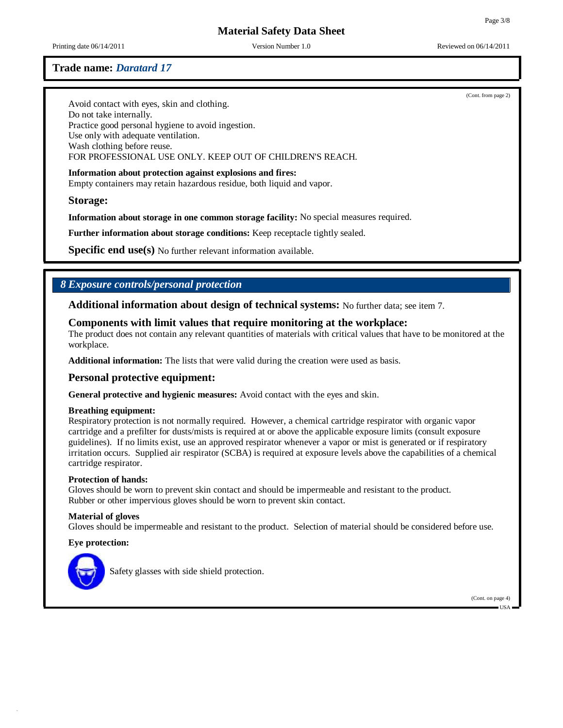Printing date  $06/14/2011$  Version Number 1.0 Reviewed on  $06/14/2011$ 

(Cont. from page 2)

Page 3/8

## **Trade name:** *Daratard 17*

Avoid contact with eyes, skin and clothing. Do not take internally. Practice good personal hygiene to avoid ingestion. Use only with adequate ventilation. Wash clothing before reuse. FOR PROFESSIONAL USE ONLY. KEEP OUT OF CHILDREN'S REACH.

#### **Information about protection against explosions and fires:**

Empty containers may retain hazardous residue, both liquid and vapor.

#### **Storage:**

**Information about storage in one common storage facility:** No special measures required.

**Further information about storage conditions:** Keep receptacle tightly sealed.

**Specific end use(s)** No further relevant information available.

## *8 Exposure controls/personal protection*

**Additional information about design of technical systems:** No further data; see item 7.

#### **Components with limit values that require monitoring at the workplace:**

The product does not contain any relevant quantities of materials with critical values that have to be monitored at the workplace.

**Additional information:** The lists that were valid during the creation were used as basis.

#### **Personal protective equipment:**

**General protective and hygienic measures:** Avoid contact with the eyes and skin.

#### **Breathing equipment:**

Respiratory protection is not normally required. However, a chemical cartridge respirator with organic vapor cartridge and a prefilter for dusts/mists is required at or above the applicable exposure limits (consult exposure guidelines). If no limits exist, use an approved respirator whenever a vapor or mist is generated or if respiratory irritation occurs. Supplied air respirator (SCBA) is required at exposure levels above the capabilities of a chemical cartridge respirator.

#### **Protection of hands:**

Gloves should be worn to prevent skin contact and should be impermeable and resistant to the product. Rubber or other impervious gloves should be worn to prevent skin contact.

#### **Material of gloves**

Gloves should be impermeable and resistant to the product. Selection of material should be considered before use.

#### **Eye protection:**



Safety glasses with side shield protection.

(Cont. on page 4)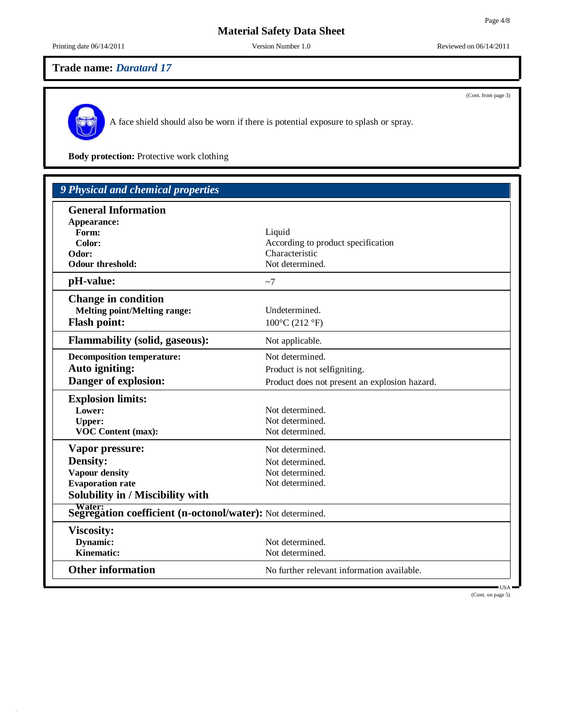(Cont. from page 3)

# **Material Safety Data Sheet**

Printing date  $06/14/2011$  Version Number 1.0 Reviewed on  $06/14/2011$ 

# **Trade name:** *Daratard 17*

A face shield should also be worn if there is potential exposure to splash or spray.

**Body protection:** Protective work clothing

| 9 Physical and chemical properties                                         |                                               |
|----------------------------------------------------------------------------|-----------------------------------------------|
| <b>General Information</b>                                                 |                                               |
| Appearance:                                                                |                                               |
| Form:                                                                      | Liquid                                        |
| Color:                                                                     | According to product specification            |
| Odor:                                                                      | Characteristic                                |
| <b>Odour threshold:</b>                                                    | Not determined.                               |
| pH-value:                                                                  | ~1                                            |
| <b>Change in condition</b>                                                 |                                               |
| <b>Melting point/Melting range:</b>                                        | Undetermined.                                 |
| <b>Flash point:</b>                                                        | $100^{\circ}$ C (212 °F)                      |
| <b>Flammability (solid, gaseous):</b>                                      | Not applicable.                               |
| <b>Decomposition temperature:</b>                                          | Not determined.                               |
| Auto igniting:                                                             | Product is not selfigniting.                  |
| Danger of explosion:                                                       | Product does not present an explosion hazard. |
| <b>Explosion limits:</b>                                                   |                                               |
| Lower:                                                                     | Not determined.                               |
| <b>Upper:</b>                                                              | Not determined.                               |
| <b>VOC Content (max):</b>                                                  | Not determined.                               |
| Vapor pressure:                                                            | Not determined.                               |
| Density:                                                                   | Not determined.                               |
| <b>Vapour density</b>                                                      | Not determined.                               |
| <b>Evaporation rate</b>                                                    | Not determined.                               |
| Solubility in / Miscibility with                                           |                                               |
| <b>Supering Segregation coefficient (n-octonol/water):</b> Not determined. |                                               |
| <b>Viscosity:</b>                                                          |                                               |
| Dynamic:                                                                   | Not determined.                               |
| <b>Kinematic:</b>                                                          | Not determined.                               |
| <b>Other information</b>                                                   | No further relevant information available.    |

USA (Cont. on page 5)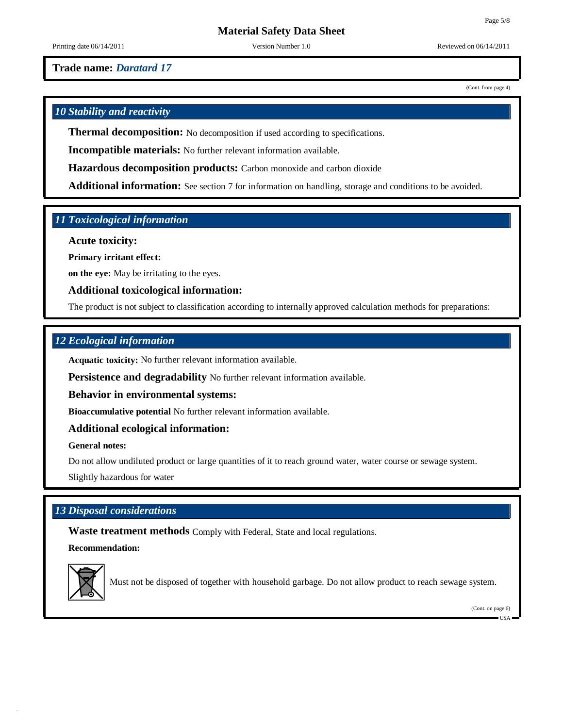(Cont. from page 4)

# **Material Safety Data Sheet**

Printing date  $06/14/2011$  Version Number 1.0 Reviewed on  $06/14/2011$ 

**Trade name:** *Daratard 17*

*10 Stability and reactivity*

**Thermal decomposition:** No decomposition if used according to specifications.

**Incompatible materials:** No further relevant information available.

**Hazardous decomposition products:** Carbon monoxide and carbon dioxide

**Additional information:** See section 7 for information on handling, storage and conditions to be avoided.

## *11 Toxicological information*

**Acute toxicity:**

**Primary irritant effect:**

**on the eye:** May be irritating to the eyes.

**Additional toxicological information:**

The product is not subject to classification according to internally approved calculation methods for preparations:

## *12 Ecological information*

**Acquatic toxicity:** No further relevant information available.

**Persistence and degradability** No further relevant information available.

**Behavior in environmental systems:**

**Bioaccumulative potential** No further relevant information available.

### **Additional ecological information:**

**General notes:**

Do not allow undiluted product or large quantities of it to reach ground water, water course or sewage system.

Slightly hazardous for water

## *13 Disposal considerations*

**Waste treatment methods** Comply with Federal, State and local regulations.

**Recommendation:**



Must not be disposed of together with household garbage. Do not allow product to reach sewage system.

(Cont. on page 6)

USA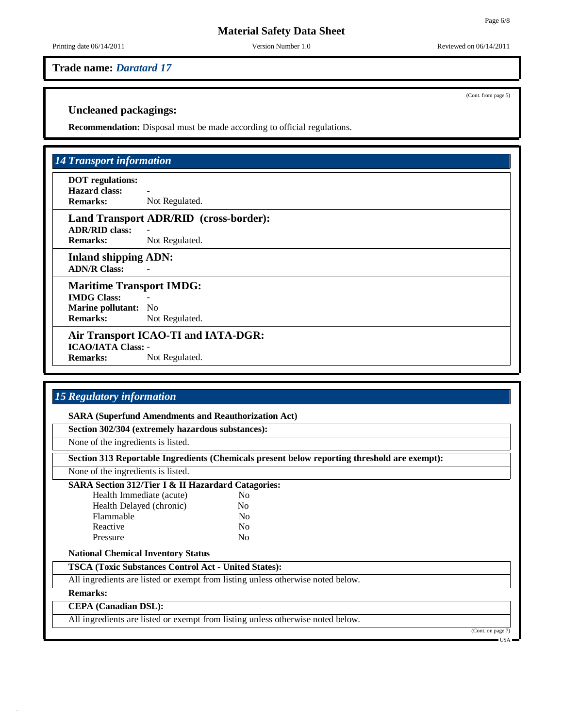Printing date  $06/14/2011$  Version Number 1.0 Reviewed on  $06/14/2011$ 

**Trade name:** *Daratard 17*

(Cont. from page 5)

### **Uncleaned packagings:**

**Recommendation:** Disposal must be made according to official regulations.

## *14 Transport information*

**DOT regulations: Hazard class:** - **Remarks:** Not Regulated.

## **Land Transport ADR/RID (cross-border):**

**ADR/RID class:** - **Remarks:** Not Regulated.

**Inland shipping ADN: ADN/R Class:** -

**Maritime Transport IMDG: IMDG Class:** - **Marine pollutant:** No **Remarks:** Not Regulated.

# **Air Transport ICAO-TI and IATA-DGR: ICAO/IATA Class:** -

**Remarks:** Not Regulated.

## *15 Regulatory information*

**SARA (Superfund Amendments and Reauthorization Act)**

**Section 302/304 (extremely hazardous substances):**

None of the ingredients is listed.

**Section 313 Reportable Ingredients (Chemicals present below reporting threshold are exempt):**

None of the ingredients is listed.

#### **SARA Section 312/Tier I & II Hazardard Catagories:**

Health Immediate (acute) No Health Delayed (chronic) No Flammable No Reactive No Pressure No

#### **National Chemical Inventory Status**

**TSCA (Toxic Substances Control Act - United States):**

All ingredients are listed or exempt from listing unless otherwise noted below.

**Remarks:**

## **CEPA (Canadian DSL):**

All ingredients are listed or exempt from listing unless otherwise noted below.

 $(Cont. on pag)$ 

 $IISA$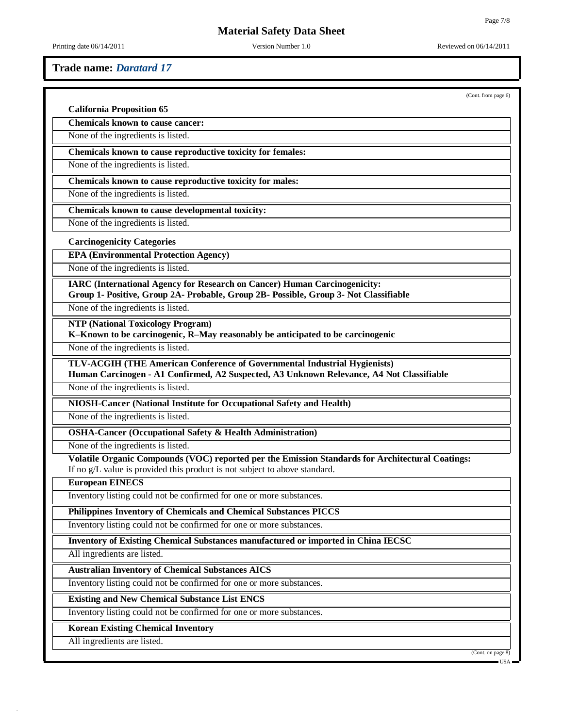Printing date  $06/14/2011$  Version Number 1.0 Reviewed on  $06/14/2011$ 

### **Trade name:** *Daratard 17*

(Cont. from page 6)

|  | <b>California Proposition 65</b> |  |
|--|----------------------------------|--|
|--|----------------------------------|--|

**Chemicals known to cause cancer:**

None of the ingredients is listed.

**Chemicals known to cause reproductive toxicity for females:**

None of the ingredients is listed.

**Chemicals known to cause reproductive toxicity for males:**

None of the ingredients is listed.

**Chemicals known to cause developmental toxicity:**

None of the ingredients is listed.

#### **Carcinogenicity Categories**

**EPA (Environmental Protection Agency)**

None of the ingredients is listed.

**IARC (International Agency for Research on Cancer) Human Carcinogenicity: Group 1- Positive, Group 2A- Probable, Group 2B- Possible, Group 3- Not Classifiable**

None of the ingredients is listed.

**NTP (National Toxicology Program)**

**K–Known to be carcinogenic, R–May reasonably be anticipated to be carcinogenic**

None of the ingredients is listed.

**TLV-ACGIH (THE American Conference of Governmental Industrial Hygienists)**

**Human Carcinogen - A1 Confirmed, A2 Suspected, A3 Unknown Relevance, A4 Not Classifiable**

None of the ingredients is listed.

**NIOSH-Cancer (National Institute for Occupational Safety and Health)**

None of the ingredients is listed.

**OSHA-Cancer (Occupational Safety & Health Administration)**

None of the ingredients is listed.

**Volatile Organic Compounds (VOC) reported per the Emission Standards for Architectural Coatings:** If no g/L value is provided this product is not subject to above standard.

**European EINECS**

Inventory listing could not be confirmed for one or more substances.

**Philippines Inventory of Chemicals and Chemical Substances PICCS**

Inventory listing could not be confirmed for one or more substances.

**Inventory of Existing Chemical Substances manufactured or imported in China IECSC**

All ingredients are listed.

**Australian Inventory of Chemical Substances AICS**

Inventory listing could not be confirmed for one or more substances.

**Existing and New Chemical Substance List ENCS**

Inventory listing could not be confirmed for one or more substances.

**Korean Existing Chemical Inventory**

All ingredients are listed.

(Cont. on page